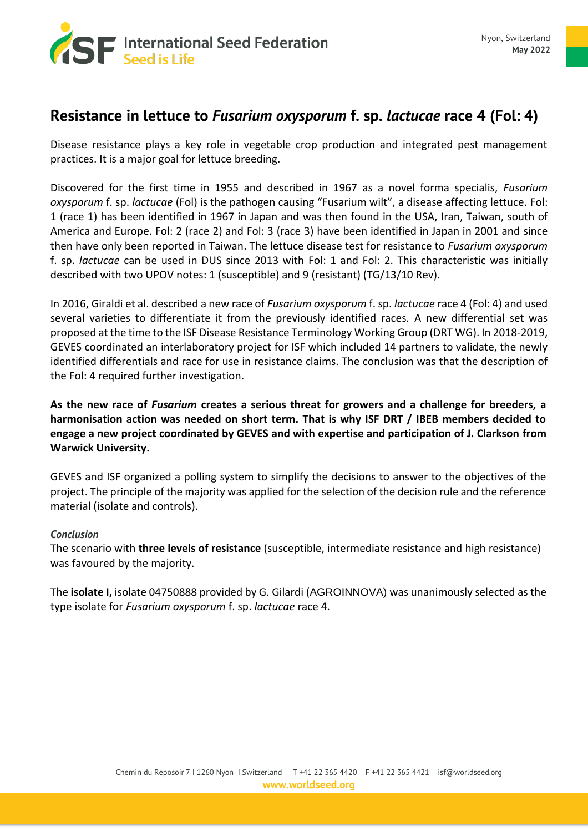

# **Resistance in lettuce to** *Fusarium oxysporum* **f. sp.** *lactucae* **race 4 (Fol: 4)**

Disease resistance plays a key role in vegetable crop production and integrated pest management practices. It is a major goal for lettuce breeding.

Discovered for the first time in 1955 and described in 1967 as a novel forma specialis, *Fusarium oxysporum* f. sp. *lactucae* (Fol) is the pathogen causing "Fusarium wilt", a disease affecting lettuce. Fol: 1 (race 1) has been identified in 1967 in Japan and was then found in the USA, Iran, Taiwan, south of America and Europe. Fol: 2 (race 2) and Fol: 3 (race 3) have been identified in Japan in 2001 and since then have only been reported in Taiwan. The lettuce disease test for resistance to *Fusarium oxysporum* f. sp. *lactucae* can be used in DUS since 2013 with Fol: 1 and Fol: 2. This characteristic was initially described with two UPOV notes: 1 (susceptible) and 9 (resistant) (TG/13/10 Rev).

In 2016, Giraldi et al. described a new race of *Fusarium oxysporum* f. sp. *lactucae* race 4 (Fol: 4) and used several varieties to differentiate it from the previously identified races. A new differential set was proposed at the time to the ISF Disease Resistance Terminology Working Group (DRT WG). In 2018-2019, GEVES coordinated an interlaboratory project for ISF which included 14 partners to validate, the newly identified differentials and race for use in resistance claims. The conclusion was that the description of the Fol: 4 required further investigation.

**As the new race of** *Fusarium* **creates a serious threat for growers and a challenge for breeders, a harmonisation action was needed on short term. That is why ISF DRT / IBEB members decided to engage a new project coordinated by GEVES and with expertise and participation of J. Clarkson from Warwick University.**

GEVES and ISF organized a polling system to simplify the decisions to answer to the objectives of the project. The principle of the majority was applied for the selection of the decision rule and the reference material (isolate and controls).

## *Conclusion*

The scenario with **three levels of resistance** (susceptible, intermediate resistance and high resistance) was favoured by the majority.

The **isolate I,** isolate 04750888 provided by G. Gilardi (AGROINNOVA) was unanimously selected as the type isolate for *Fusarium oxysporum* f. sp. *lactucae* race 4.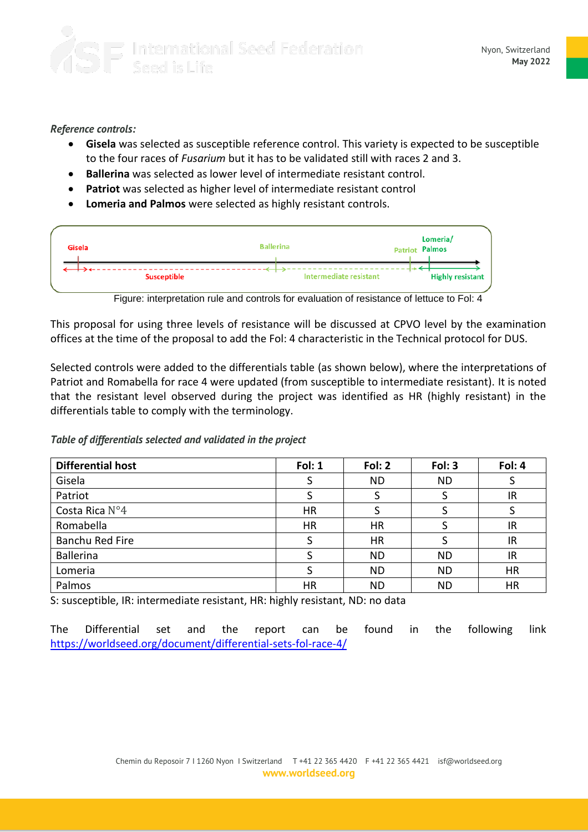### *Reference controls:*

- **Gisela** was selected as susceptible reference control. This variety is expected to be susceptible to the four races of *Fusarium* but it has to be validated still with races 2 and 3.
- **Ballerina** was selected as lower level of intermediate resistant control.
- **Patriot** was selected as higher level of intermediate resistant control
- **Lomeria and Palmos** were selected as highly resistant controls.



Figure: interpretation rule and controls for evaluation of resistance of lettuce to Fol: 4

This proposal for using three levels of resistance will be discussed at CPVO level by the examination offices at the time of the proposal to add the Fol: 4 characteristic in the Technical protocol for DUS.

Selected controls were added to the differentials table (as shown below), where the interpretations of Patriot and Romabella for race 4 were updated (from susceptible to intermediate resistant). It is noted that the resistant level observed during the project was identified as HR (highly resistant) in the differentials table to comply with the terminology.

*Table of differentials selected and validated in the project*

| <b>Differential host</b> | Fol: 1 | Fol: 2    | Fol: 3    | Fol: 4    |
|--------------------------|--------|-----------|-----------|-----------|
| Gisela                   |        | <b>ND</b> | <b>ND</b> |           |
| Patriot                  |        |           |           | IR        |
| Costa Rica N°4           | HR     |           |           |           |
| Romabella                | HR     | <b>HR</b> |           | IR        |
| Banchu Red Fire          |        | <b>HR</b> |           | IR        |
| <b>Ballerina</b>         |        | <b>ND</b> | <b>ND</b> | IR        |
| Lomeria                  |        | <b>ND</b> | <b>ND</b> | <b>HR</b> |
| Palmos                   | HR     | <b>ND</b> | <b>ND</b> | HR        |

S: susceptible, IR: intermediate resistant, HR: highly resistant, ND: no data

The Differential set and the report can be found in the following link <https://worldseed.org/document/differential-sets-fol-race-4/>